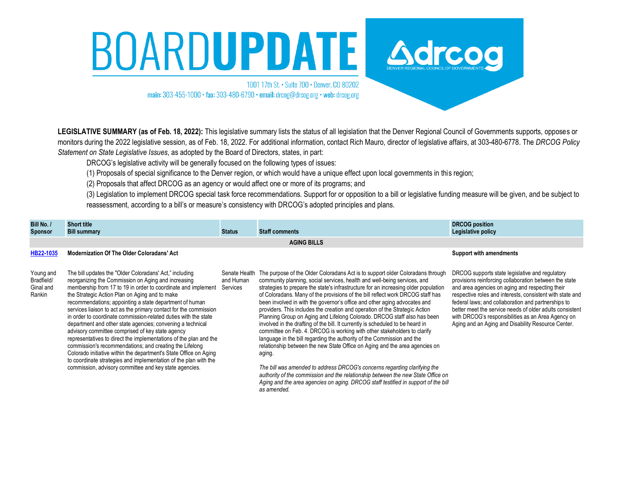# BOARDUPDATE Adresse

1001 17th St. • Suite 700 • Denver, CO 80202 main: 303-455-1000 · fax: 303-480-6790 · email: drcog@drcog.org · web: drcog.org

**LEGISLATIVE SUMMARY (as of Feb. 18, 2022):** This legislative summary lists the status of all legislation that the Denver Regional Council of Governments supports, opposes or monitors during the 2022 legislative session, as of Feb. 18, 2022. For additional information, contact Rich Mauro, director of legislative affairs, at 303-480-6778. The *DRCOG Policy Statement on State Legislative Issues*, as adopted by the Board of Directors, states, in part:

DRCOG's legislative activity will be generally focused on the following types of issues:

(1) Proposals of special significance to the Denver region, or which would have a unique effect upon local governments in this region;

(2) Proposals that affect DRCOG as an agency or would affect one or more of its programs; and

(3) Legislation to implement DRCOG special task force recommendations. Support for or opposition to a bill or legislative funding measure will be given, and be subject to reassessment, according to a bill's or measure's consistency with DRCOG's adopted principles and plans.

| Bill No. /<br><b>Sponsor</b>                   | <b>Short title</b><br><b>Bill summary</b>                                                                                                                                                                                                                                                                                                                                                                                                                                                                                                                                                                                                                                                                                                                                                                                                                                                 | <b>Status</b>                          | <b>Staff comments</b>                                                                                                                                                                                                                                                                                                                                                                                                                                                                                                                                                                                                                                                                                                                                                                                                                                                                                                                                                                                                                                                                                                                                                             | <b>DRCOG position</b><br>Legislative policy                                                                                                                                                                                                                                                                                                                                                                                                              |  |  |  |  |  |
|------------------------------------------------|-------------------------------------------------------------------------------------------------------------------------------------------------------------------------------------------------------------------------------------------------------------------------------------------------------------------------------------------------------------------------------------------------------------------------------------------------------------------------------------------------------------------------------------------------------------------------------------------------------------------------------------------------------------------------------------------------------------------------------------------------------------------------------------------------------------------------------------------------------------------------------------------|----------------------------------------|-----------------------------------------------------------------------------------------------------------------------------------------------------------------------------------------------------------------------------------------------------------------------------------------------------------------------------------------------------------------------------------------------------------------------------------------------------------------------------------------------------------------------------------------------------------------------------------------------------------------------------------------------------------------------------------------------------------------------------------------------------------------------------------------------------------------------------------------------------------------------------------------------------------------------------------------------------------------------------------------------------------------------------------------------------------------------------------------------------------------------------------------------------------------------------------|----------------------------------------------------------------------------------------------------------------------------------------------------------------------------------------------------------------------------------------------------------------------------------------------------------------------------------------------------------------------------------------------------------------------------------------------------------|--|--|--|--|--|
| <b>AGING BILLS</b>                             |                                                                                                                                                                                                                                                                                                                                                                                                                                                                                                                                                                                                                                                                                                                                                                                                                                                                                           |                                        |                                                                                                                                                                                                                                                                                                                                                                                                                                                                                                                                                                                                                                                                                                                                                                                                                                                                                                                                                                                                                                                                                                                                                                                   |                                                                                                                                                                                                                                                                                                                                                                                                                                                          |  |  |  |  |  |
| HB22-1035                                      | <b>Modernization Of The Older Coloradans' Act</b>                                                                                                                                                                                                                                                                                                                                                                                                                                                                                                                                                                                                                                                                                                                                                                                                                                         |                                        |                                                                                                                                                                                                                                                                                                                                                                                                                                                                                                                                                                                                                                                                                                                                                                                                                                                                                                                                                                                                                                                                                                                                                                                   | <b>Support with amendments</b>                                                                                                                                                                                                                                                                                                                                                                                                                           |  |  |  |  |  |
| Young and<br>Bradfield/<br>Ginal and<br>Rankin | The bill updates the "Older Coloradans' Act," including<br>reorganizing the Commission on Aging and increasing<br>membership from 17 to 19 in order to coordinate and implement<br>the Strategic Action Plan on Aging and to make<br>recommendations; appointing a state department of human<br>services liaison to act as the primary contact for the commission<br>in order to coordinate commission-related duties with the state<br>department and other state agencies; convening a technical<br>advisory committee comprised of key state agency<br>representatives to direct the implementations of the plan and the<br>commission's recommendations; and creating the Lifelong<br>Colorado initiative within the department's State Office on Aging<br>to coordinate strategies and implementation of the plan with the<br>commission, advisory committee and key state agencies. | Senate Health<br>and Human<br>Services | The purpose of the Older Coloradans Act is to support older Coloradans through<br>community planning, social services, health and well-being services, and<br>strategies to prepare the state's infrastructure for an increasing older population<br>of Coloradans. Many of the provisions of the bill reflect work DRCOG staff has<br>been involved in with the governor's office and other aging advocates and<br>providers. This includes the creation and operation of the Strategic Action<br>Planning Group on Aging and Lifelong Colorado. DRCOG staff also has been<br>involved in the drafting of the bill. It currently is scheduled to be heard in<br>committee on Feb. 4. DRCOG is working with other stakeholders to clarify<br>language in the bill regarding the authority of the Commission and the<br>relationship between the new State Office on Aging and the area agencies on<br>aging.<br>The bill was amended to address DRCOG's concerns regarding clarifying the<br>authority of the commission and the relationship between the new State Office on<br>Aging and the area agencies on aging. DRCOG staff testified in support of the bill<br>as amended | DRCOG supports state legislative and regulatory<br>provisions reinforcing collaboration between the state<br>and area agencies on aging and respecting their<br>respective roles and interests, consistent with state and<br>federal laws; and collaboration and partnerships to<br>better meet the service needs of older adults consistent<br>with DRCOG's responsibilities as an Area Agency on<br>Aging and an Aging and Disability Resource Center. |  |  |  |  |  |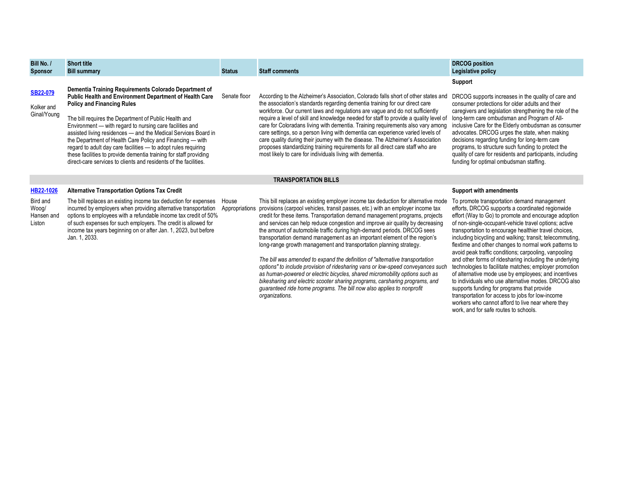| Bill No. /<br><b>Sponsor</b>                 | <b>Short title</b><br><b>Bill summary</b>                                                                                                                                                                                                                                                                                                                                                                                                                                                                                                                                                                            | <b>Status</b>           | <b>Staff comments</b>                                                                                                                                                                                                                                                                                                                                                                                                                                                                                                                                                                                                                                                                                                                                                                                                                                                                                                                                                                          | <b>DRCOG</b> position<br>Legislative policy                                                                                                                                                                                                                                                                                                                                                                                                                                                                                                                                                                                                                                                                                                                                                    |  |  |  |  |
|----------------------------------------------|----------------------------------------------------------------------------------------------------------------------------------------------------------------------------------------------------------------------------------------------------------------------------------------------------------------------------------------------------------------------------------------------------------------------------------------------------------------------------------------------------------------------------------------------------------------------------------------------------------------------|-------------------------|------------------------------------------------------------------------------------------------------------------------------------------------------------------------------------------------------------------------------------------------------------------------------------------------------------------------------------------------------------------------------------------------------------------------------------------------------------------------------------------------------------------------------------------------------------------------------------------------------------------------------------------------------------------------------------------------------------------------------------------------------------------------------------------------------------------------------------------------------------------------------------------------------------------------------------------------------------------------------------------------|------------------------------------------------------------------------------------------------------------------------------------------------------------------------------------------------------------------------------------------------------------------------------------------------------------------------------------------------------------------------------------------------------------------------------------------------------------------------------------------------------------------------------------------------------------------------------------------------------------------------------------------------------------------------------------------------------------------------------------------------------------------------------------------------|--|--|--|--|
| <b>SB22-079</b><br>Kolker and<br>Ginal/Young | Dementia Training Requirements Colorado Department of<br>Public Health and Environment Department of Health Care<br><b>Policy and Financing Rules</b><br>The bill requires the Department of Public Health and<br>Environment - with regard to nursing care facilities and<br>assisted living residences - and the Medical Services Board in<br>the Department of Health Care Policy and Financing — with<br>regard to adult day care facilities - to adopt rules requiring<br>these facilities to provide dementia training for staff providing<br>direct-care services to clients and residents of the facilities. | Senate floor            | According to the Alzheimer's Association, Colorado falls short of other states and<br>the association's standards regarding dementia training for our direct care<br>workforce. Our current laws and regulations are vague and do not sufficiently<br>require a level of skill and knowledge needed for staff to provide a quality level of<br>care for Coloradans living with dementia. Training requirements also vary among<br>care settings, so a person living with dementia can experience varied levels of<br>care quality during their journey with the disease. The Alzheimer's Association<br>proposes standardizing training requirements for all direct care staff who are<br>most likely to care for individuals living with dementia.                                                                                                                                                                                                                                            | <b>Support</b><br>DRCOG supports increases in the quality of care and<br>consumer protections for older adults and their<br>caregivers and legislation strengthening the role of the<br>long-term care ombudsman and Program of All-<br>inclusive Care for the Elderly ombudsman as consumer<br>advocates. DRCOG urges the state, when making<br>decisions regarding funding for long-term care<br>programs, to structure such funding to protect the<br>quality of care for residents and participants, including<br>funding for optimal ombudsman staffing.                                                                                                                                                                                                                                  |  |  |  |  |
| <b>TRANSPORTATION BILLS</b>                  |                                                                                                                                                                                                                                                                                                                                                                                                                                                                                                                                                                                                                      |                         |                                                                                                                                                                                                                                                                                                                                                                                                                                                                                                                                                                                                                                                                                                                                                                                                                                                                                                                                                                                                |                                                                                                                                                                                                                                                                                                                                                                                                                                                                                                                                                                                                                                                                                                                                                                                                |  |  |  |  |
| HB22-1026                                    | <b>Alternative Transportation Options Tax Credit</b>                                                                                                                                                                                                                                                                                                                                                                                                                                                                                                                                                                 |                         |                                                                                                                                                                                                                                                                                                                                                                                                                                                                                                                                                                                                                                                                                                                                                                                                                                                                                                                                                                                                | <b>Support with amendments</b>                                                                                                                                                                                                                                                                                                                                                                                                                                                                                                                                                                                                                                                                                                                                                                 |  |  |  |  |
| Bird and<br>Woog/<br>Hansen and<br>Liston    | The bill replaces an existing income tax deduction for expenses<br>incurred by employers when providing alternative transportation<br>options to employees with a refundable income tax credit of 50%<br>of such expenses for such employers. The credit is allowed for<br>income tax years beginning on or after Jan. 1, 2023, but before<br>Jan. 1, 2033.                                                                                                                                                                                                                                                          | House<br>Appropriations | This bill replaces an existing employer income tax deduction for alternative mode<br>provisions (carpool vehicles, transit passes, etc.) with an employer income tax<br>credit for these items. Transportation demand management programs, projects<br>and services can help reduce congestion and improve air quality by decreasing<br>the amount of automobile traffic during high-demand periods. DRCOG sees<br>transportation demand management as an important element of the region's<br>long-range growth management and transportation planning strategy.<br>The bill was amended to expand the definition of "alternative transportation"<br>options" to include provision of ridesharing vans or low-speed conveyances such<br>as human-powered or electric bicycles, shared micromobility options such as<br>bikesharing and electric scooter sharing programs, carsharing programs, and<br>quaranteed ride home programs. The bill now also applies to nonprofit<br>organizations. | To promote transportation demand management<br>efforts, DRCOG supports a coordinated regionwide<br>effort (Way to Go) to promote and encourage adoption<br>of non-single-occupant-vehicle travel options; active<br>transportation to encourage healthier travel choices,<br>including bicycling and walking; transit; telecommuting,<br>flextime and other changes to normal work patterns to<br>avoid peak traffic conditions; carpooling, vanpooling<br>and other forms of ridesharing including the underlying<br>technologies to facilitate matches; employer promotion<br>of alternative mode use by employees; and incentives<br>to individuals who use alternative modes. DRCOG also<br>supports funding for programs that provide<br>transportation for access to jobs for low-income |  |  |  |  |

transportation for access to jobs for low-income workers who cannot afford to live near where they

work, and for safe routes to schools.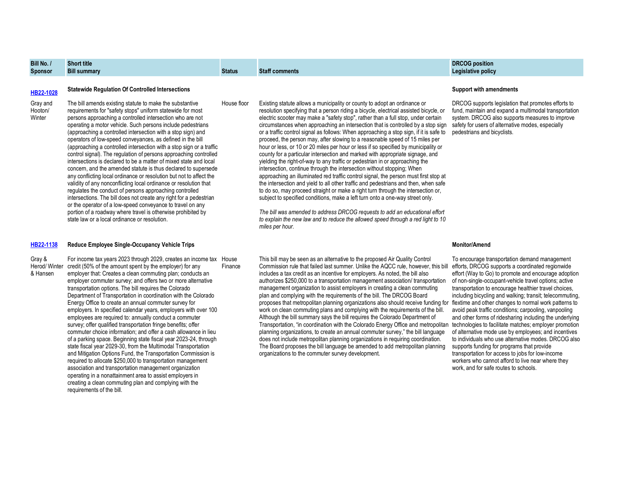# **Bill No. / Sponsor Short title**

# **Bill summary Status Staff comments**

Gray and Hooton/ Winter

The bill amends existing statute to make the substantive requirements for "safety stops" uniform statewide for most persons approaching a controlled intersection who are not operating a motor vehicle. Such persons include pedestrians (approaching a controlled intersection with a stop sign) and operators of low-speed conveyances, as defined in the bill (approaching a controlled intersection with a stop sign or a traffic control signal). The regulation of persons approaching controlled intersections is declared to be a matter of mixed state and local concern, and the amended statute is thus declared to supersede any conflicting local ordinance or resolution but not to affect the validity of any nonconflicting local ordinance or resolution that regulates the conduct of persons approaching controlled intersections. The bill does not create any right for a pedestrian or the operator of a low-speed conveyance to travel on any portion of a roadway where travel is otherwise prohibited by state law or a local ordinance or resolution.

## **[HB22-1138](https://leg.colorado.gov/sites/default/files/documents/2022A/bills/2022a_1138_01.pdf) Reduce Employee Single-Occupancy Vehicle Trips**

Gray & Herod/ Winter & Hansen

For income tax years 2023 through 2029, creates an income tax House credit (50% of the amount spent by the employer) for any employer that: Creates a clean commuting plan; conducts an employer commuter survey; and offers two or more alternative transportation options. The bill requires the Colorado Department of Transportation in coordination with the Colorado Energy Office to create an annual commuter survey for employers. In specified calendar years, employers with over 100 employees are required to: annually conduct a commuter survey; offer qualified transportation fringe benefits; offer commuter choice information; and offer a cash allowance in lieu of a parking space. Beginning state fiscal year 2023-24, through state fiscal year 2029-30, from the Multimodal Transportation and Mitigation Options Fund, the Transportation Commission is required to allocate \$250,000 to transportation management association and transportation management organization operating in a nonattainment area to assist employers in creating a clean commuting plan and complying with the requirements of the bill. Finance

House floor Existing statute allows a municipality or county to adopt an ordinance or resolution specifying that a person riding a bicycle, electrical assisted bicycle, or electric scooter may make a "safety stop", rather than a full stop, under certain circumstances when approaching an intersection that is controlled by a stop sign or a traffic control signal as follows: When approaching a stop sign, if it is safe to proceed, the person may, after slowing to a reasonable speed of 15 miles per hour or less, or 10 or 20 miles per hour or less if so specified by municipality or county for a particular intersection and marked with appropriate signage, and yielding the right-of-way to any traffic or pedestrian in or approaching the intersection, continue through the intersection without stopping: When approaching an illuminated red traffic control signal, the person must first stop at the intersection and yield to all other traffic and pedestrians and then, when safe to do so, may proceed straight or make a right turn through the intersection or, subject to specified conditions, make a left turn onto a one-way street only.

> *The bill was amended to address DRCOG requests to add an educational effort to explain the new law and to reduce the allowed speed through a red light to 10 miles per hour.*

This bill may be seen as an alternative to the proposed Air Quality Control Commission rule that failed last summer. Unlike the AQCC rule, however, this bill includes a tax credit as an incentive for employers. As noted, the bill also authorizes \$250,000 to a transportation management association/ transportation management organization to assist employers in creating a clean commuting plan and complying with the requirements of the bill. The DRCOG Board proposes that metropolitan planning organizations also should receive funding for flextime and other changes to normal work patterns to work on clean commuting plans and complying with the requirements of the bill. Although the bill summary says the bill requires the Colorado Department of Transportation, "in coordination with the Colorado Energy Office and metropolitan technologies to facilitate matches; employer promotion planning organizations, to create an annual commuter survey," the bill language does not include metropolitan planning organizations in requiring coordination. The Board proposes the bill language be amended to add metropolitan planning organizations to the commuter survey development.

# **DRCOG position Legislative policy**

# **[HB22-1028](https://leg.colorado.gov/sites/default/files/documents/2022A/bills/2022a_1028_01.pdf) Statewide Regulation Of Controlled Intersections Support with amendments**

DRCOG supports legislation that promotes efforts to fund, maintain and expand a multimodal transportation system. DRCOG also supports measures to improve safety for users of alternative modes, especially pedestrians and bicyclists.

# **Monitor/Amend**

To encourage transportation demand management efforts, DRCOG supports a coordinated regionwide effort (Way to Go) to promote and encourage adoption of non-single-occupant-vehicle travel options; active transportation to encourage healthier travel choices, including bicycling and walking; transit; telecommuting, avoid peak traffic conditions; carpooling, vanpooling and other forms of ridesharing including the underlying of alternative mode use by employees; and incentives to individuals who use alternative modes. DRCOG also supports funding for programs that provide transportation for access to jobs for low-income workers who cannot afford to live near where they work, and for safe routes to schools.